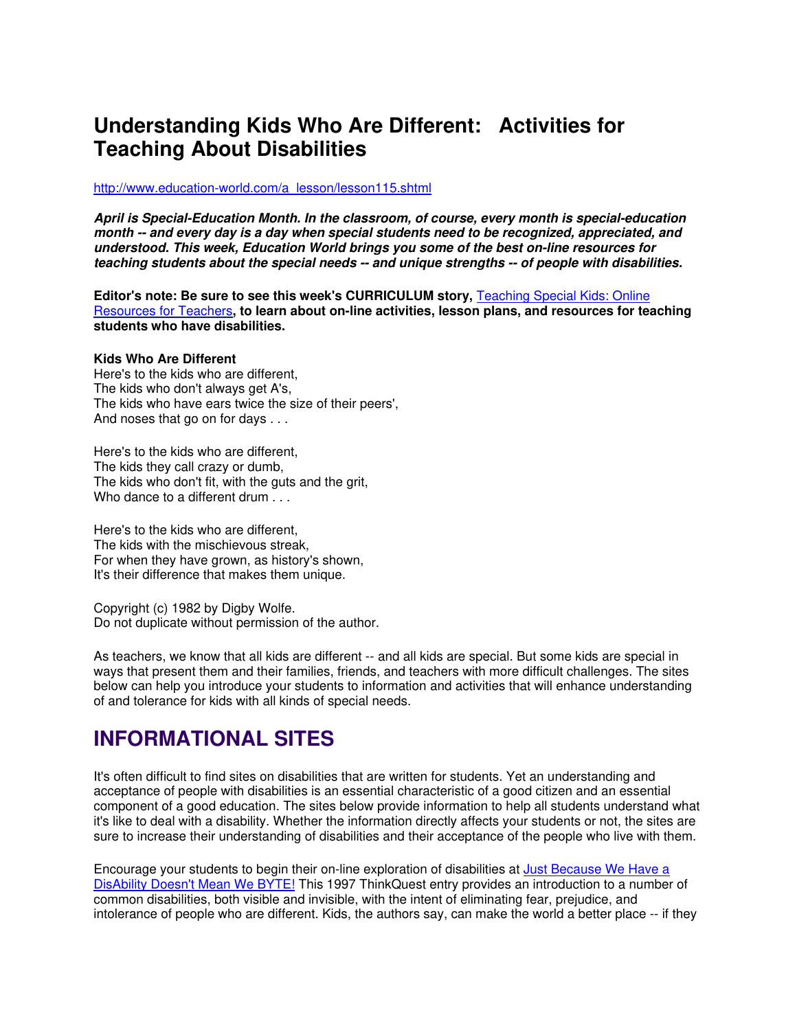# **Understanding Kids Who Are Different: Activities for Teaching About Disabilities**

#### [http://www.education-world.com/a\\_lesson/lesson115.shtml](http://www.education-world.com/a_lesson/lesson115.shtml)

**April is Special-Education Month. In the classroom, of course, every month is special-education month -- and every day is a day when special students need to be recognized, appreciated, and understood. This week, Education World brings you some of the best on-line resources for teaching students about the special needs -- and unique strengths -- of people with disabilities.**

**Editor's note: Be sure to see this week's CURRICULUM story, Teaching Special Kids: Online** [Resources for Teachers](http://www.education-world.com/a_curr/curr139.shtml)**, to learn about on-line activities, lesson plans, and resources for teaching students who have disabilities.**

### **Kids Who Are Different**

Here's to the kids who are different, The kids who don't always get A's, The kids who have ears twice the size of their peers', And noses that go on for days . . .

Here's to the kids who are different, The kids they call crazy or dumb, The kids who don't fit, with the guts and the grit, Who dance to a different drum . . .

Here's to the kids who are different, The kids with the mischievous streak, For when they have grown, as history's shown, It's their difference that makes them unique.

Copyright (c) 1982 by Digby Wolfe. Do not duplicate without permission of the author.

As teachers, we know that all kids are different -- and all kids are special. But some kids are special in ways that present them and their families, friends, and teachers with more difficult challenges. The sites below can help you introduce your students to information and activities that will enhance understanding of and tolerance for kids with all kinds of special needs.

# **INFORMATIONAL SITES**

It's often difficult to find sites on disabilities that are written for students. Yet an understanding and acceptance of people with disabilities is an essential characteristic of a good citizen and an essential component of a good education. The sites below provide information to help all students understand what it's like to deal with a disability. Whether the information directly affects your students or not, the sites are sure to increase their understanding of disabilities and their acceptance of the people who live with them.

Encourage your students to begin their on-line exploration of disabilities at [Just Because We Have a](http://library.thinkquest.org/11799/)  [DisAbility Doesn't Mean We BYTE!](http://library.thinkquest.org/11799/) This 1997 ThinkQuest entry provides an introduction to a number of common disabilities, both visible and invisible, with the intent of eliminating fear, prejudice, and intolerance of people who are different. Kids, the authors say, can make the world a better place -- if they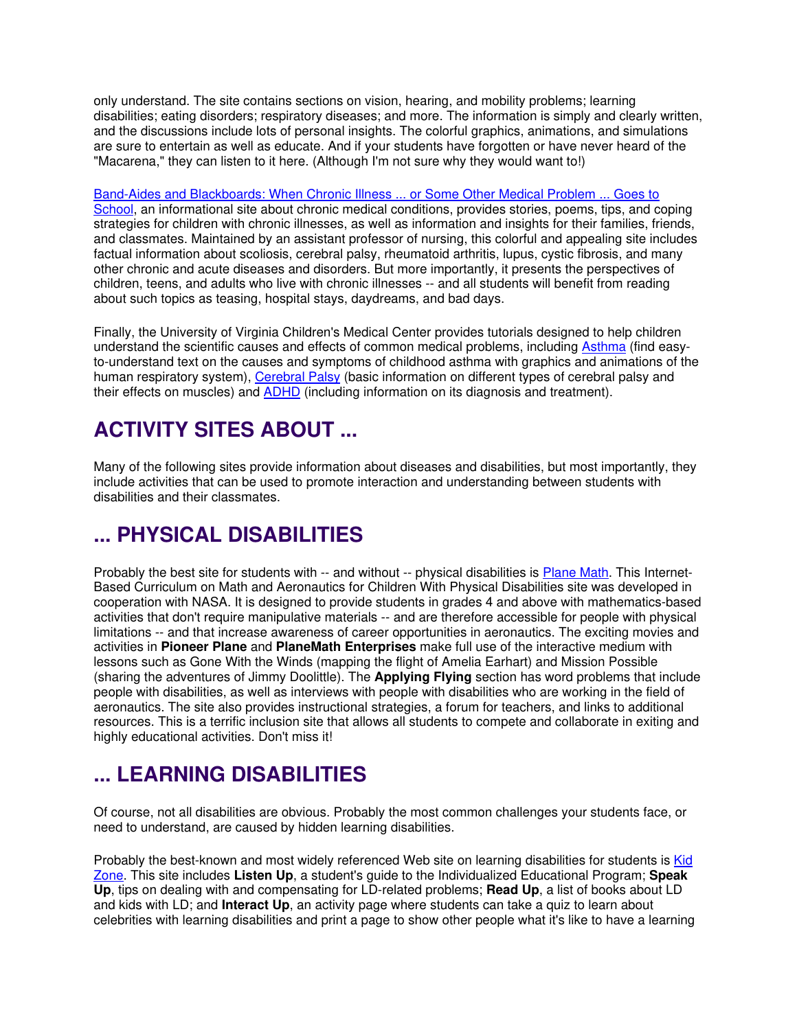only understand. The site contains sections on vision, hearing, and mobility problems; learning disabilities; eating disorders; respiratory diseases; and more. The information is simply and clearly written, and the discussions include lots of personal insights. The colorful graphics, animations, and simulations are sure to entertain as well as educate. And if your students have forgotten or have never heard of the "Macarena," they can listen to it here. (Although I'm not sure why they would want to!)

[Band-Aides and Blackboards: When Chronic Illness ... or Some Other Medical Problem ... Goes to](http://www.lehman.cuny.edu/faculty/jfleitas/bandaides/contkids.html)  [School,](http://www.lehman.cuny.edu/faculty/jfleitas/bandaides/contkids.html) an informational site about chronic medical conditions, provides stories, poems, tips, and coping strategies for children with chronic illnesses, as well as information and insights for their families, friends, and classmates. Maintained by an assistant professor of nursing, this colorful and appealing site includes factual information about scoliosis, cerebral palsy, rheumatoid arthritis, lupus, cystic fibrosis, and many other chronic and acute diseases and disorders. But more importantly, it presents the perspectives of children, teens, and adults who live with chronic illnesses -- and all students will benefit from reading about such topics as teasing, hospital stays, daydreams, and bad days.

Finally, the University of Virginia Children's Medical Center provides tutorials designed to help children understand the scientific causes and effects of common medical problems, including [Asthma](http://www.healthsystem.virginia.edu/internet/pediatrics/patients/Tutorials/Asthma/home.cfm) (find easyto-understand text on the causes and symptoms of childhood asthma with graphics and animations of the human respiratory system), [Cerebral Palsy](http://www.healthsystem.virginia.edu/internet/pediatrics/patients/Tutorials/CP/home.cfm) (basic information on different types of cerebral palsy and their effects on muscles) and [ADHD](http://www.nimh.nih.gov/health/publications/attention-deficit-hyperactivity-disorder/complete-index.shtml) (including information on its diagnosis and treatment).

# **ACTIVITY SITES ABOUT ...**

Many of the following sites provide information about diseases and disabilities, but most importantly, they include activities that can be used to promote interaction and understanding between students with disabilities and their classmates.

# **... PHYSICAL DISABILITIES**

Probably the best site for students with -- and without -- physical disabilities is [Plane Math.](http://www.planemath.com/planemathmain.html) This Internet-Based Curriculum on Math and Aeronautics for Children With Physical Disabilities site was developed in cooperation with NASA. It is designed to provide students in grades 4 and above with mathematics-based activities that don't require manipulative materials -- and are therefore accessible for people with physical limitations -- and that increase awareness of career opportunities in aeronautics. The exciting movies and activities in **Pioneer Plane** and **PlaneMath Enterprises** make full use of the interactive medium with lessons such as Gone With the Winds (mapping the flight of Amelia Earhart) and Mission Possible (sharing the adventures of Jimmy Doolittle). The **Applying Flying** section has word problems that include people with disabilities, as well as interviews with people with disabilities who are working in the field of aeronautics. The site also provides instructional strategies, a forum for teachers, and links to additional resources. This is a terrific inclusion site that allows all students to compete and collaborate in exiting and highly educational activities. Don't miss it!

# **... LEARNING DISABILITIES**

Of course, not all disabilities are obvious. Probably the most common challenges your students face, or need to understand, are caused by hidden learning disabilities.

Probably the best-known and most widely referenced Web site on learning disabilities for students is Kid [Zone.](http://www.ldonline.org/kidzone/kidzone.html) This site includes **Listen Up**, a student's guide to the Individualized Educational Program; **Speak Up**, tips on dealing with and compensating for LD-related problems; **Read Up**, a list of books about LD and kids with LD; and **Interact Up**, an activity page where students can take a quiz to learn about celebrities with learning disabilities and print a page to show other people what it's like to have a learning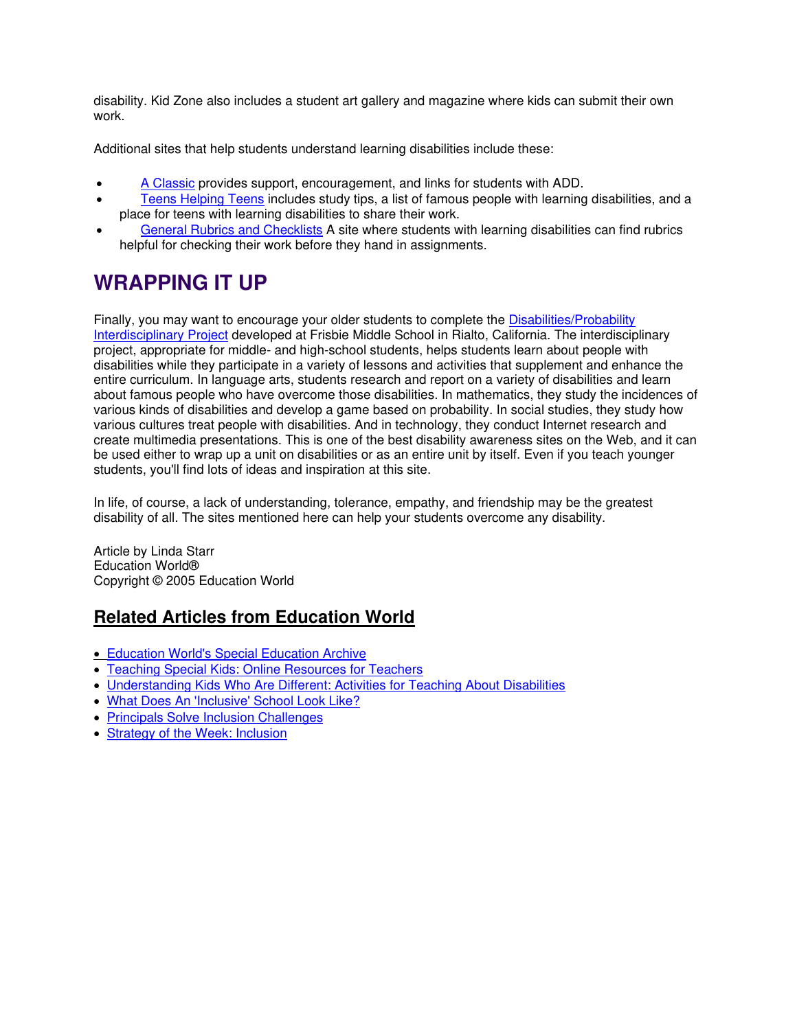disability. Kid Zone also includes a student art gallery and magazine where kids can submit their own work.

Additional sites that help students understand learning disabilities include these:

- [A Classic](http://www.geocities.com/HotSprings/6502/index.html) provides support, encouragement, and links for students with ADD.
- Teens Helping Teens includes study tips, a list of famous people with learning disabilities, and a place for teens with learning disabilities to share their work.
- [General Rubrics and Checklists](http://www.nald.ca/CLR/Btg/ed/evaluation/general.htm) A site where students with learning disabilities can find rubrics helpful for checking their work before they hand in assignments.

# **WRAPPING IT UP**

Finally, you may want to encourage your older students to complete the [Disabilities/Probability](http://mathforum.org/alejandre/frisbie/coyote/interdisciplinary4.html)  [Interdisciplinary Project](http://mathforum.org/alejandre/frisbie/coyote/interdisciplinary4.html) developed at Frisbie Middle School in Rialto, California. The interdisciplinary project, appropriate for middle- and high-school students, helps students learn about people with disabilities while they participate in a variety of lessons and activities that supplement and enhance the entire curriculum. In language arts, students research and report on a variety of disabilities and learn about famous people who have overcome those disabilities. In mathematics, they study the incidences of various kinds of disabilities and develop a game based on probability. In social studies, they study how various cultures treat people with disabilities. And in technology, they conduct Internet research and create multimedia presentations. This is one of the best disability awareness sites on the Web, and it can be used either to wrap up a unit on disabilities or as an entire unit by itself. Even if you teach younger students, you'll find lots of ideas and inspiration at this site.

In life, of course, a lack of understanding, tolerance, empathy, and friendship may be the greatest disability of all. The sites mentioned here can help your students overcome any disability.

Article by Linda Starr Education World® Copyright © 2005 Education World

# **Related Articles from Education World**

- [Education World's Special Education Archive](http://www.educationworld.com/special_ed/)
- [Teaching Special Kids: Online Resources for Teachers](http://www.educationworld.com/a_curr/curr139.shtml)
- [Understanding Kids Who Are Different: Activities for Teaching About Disabilities](http://www.educationworld.com/a_lesson/lesson115.shtml)
- [What Does An 'Inclusive' School Look Like?](http://www.educationworld.com/a_curr/curr225.shtml)
- [Principals Solve Inclusion Challenges](http://www.educationworld.com/a_admin/admin/admin340.shtml)
- [Strategy of the Week: Inclusion](http://www.educationworld.com/a_curr/strategy/strategy026.shtml)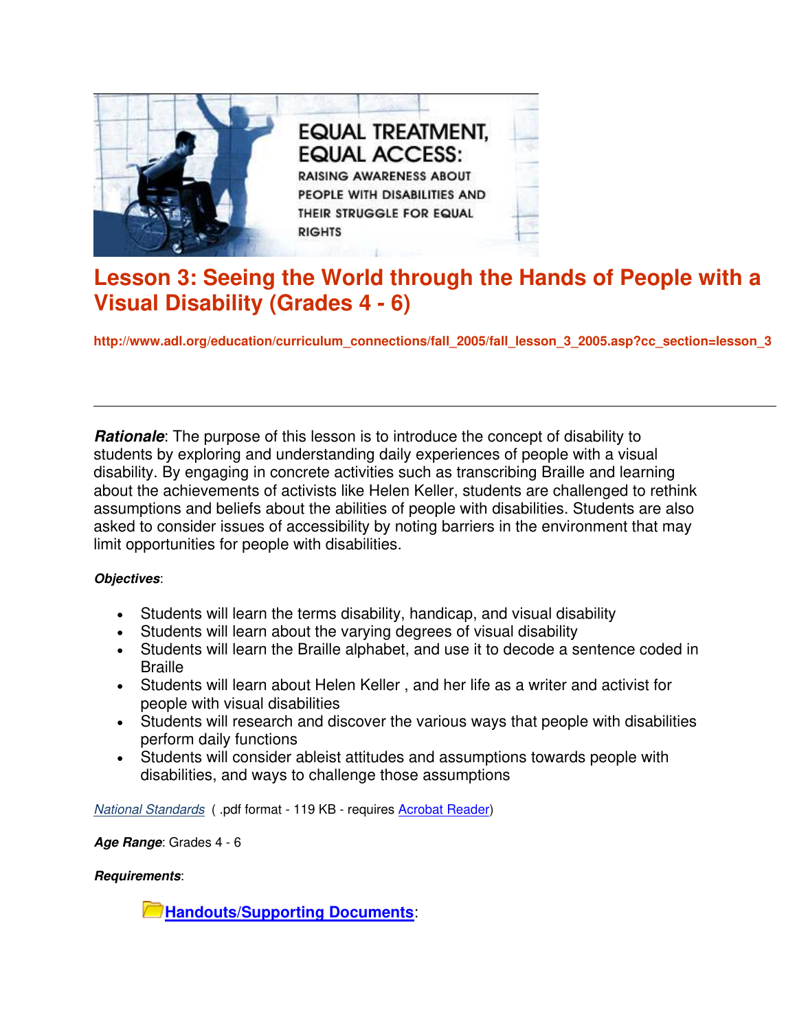

# **Lesson 3: Seeing the World through the Hands of People with a Visual Disability (Grades 4 - 6)**

**http://www.adl.org/education/curriculum\_connections/fall\_2005/fall\_lesson\_3\_2005.asp?cc\_section=lesson\_3**

**Rationale**: The purpose of this lesson is to introduce the concept of disability to students by exploring and understanding daily experiences of people with a visual disability. By engaging in concrete activities such as transcribing Braille and learning about the achievements of activists like Helen Keller, students are challenged to rethink assumptions and beliefs about the abilities of people with disabilities. Students are also asked to consider issues of accessibility by noting barriers in the environment that may limit opportunities for people with disabilities.

### **Objectives**:

- Students will learn the terms disability, handicap, and visual disability
- Students will learn about the varying degrees of visual disability
- Students will learn the Braille alphabet, and use it to decode a sentence coded in **Braille**
- Students will learn about Helen Keller , and her life as a writer and activist for people with visual disabilities
- Students will research and discover the various ways that people with disabilities perform daily functions
- Students will consider ableist attitudes and assumptions towards people with disabilities, and ways to challenge those assumptions

*[National Standards](http://www.adl.org/education/curriculum_connections/fall_2005/National_Standards.pdf)* ( .pdf format - 119 KB - requires [Acrobat Reader](http://www.adobe.com/products/acrobat/readstep2.html))

**Age Range**: Grades 4 - 6

### **Requirements**:

**Handouts/Supporting Documents**[:](http://www.adl.org/education/curriculum_connections/fall_2005/lesson_3_handouts_fall_2005.pdf)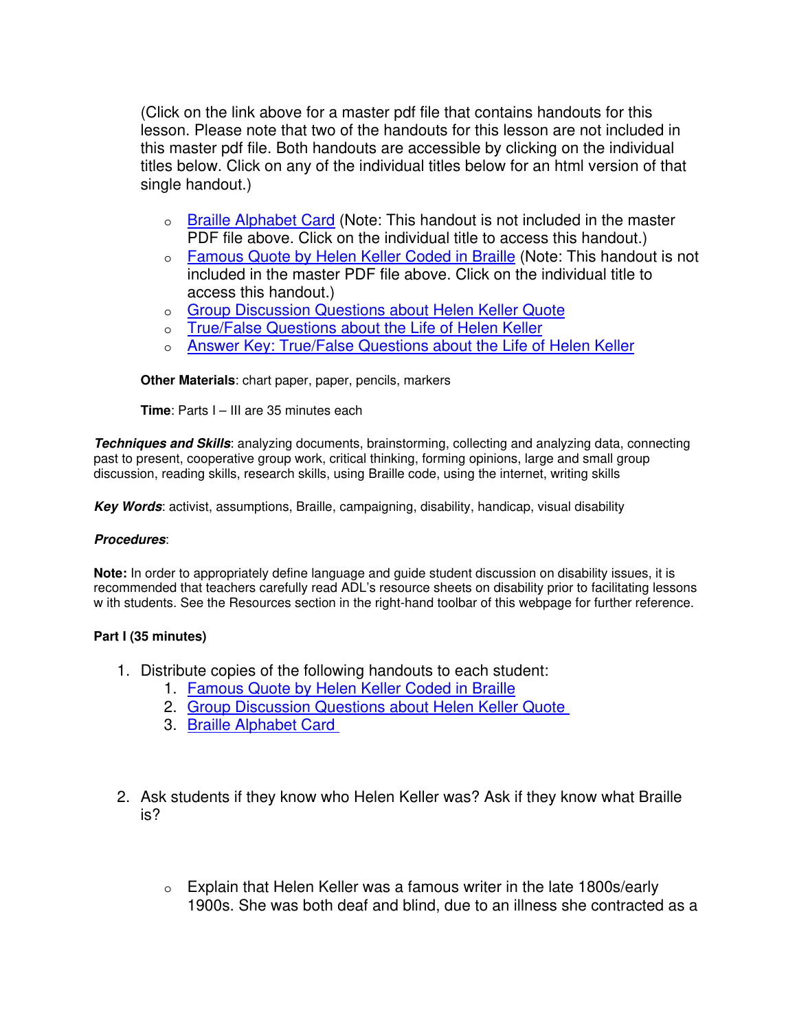(Click on the link above for a master pdf file that contains handouts for this lesson. Please note that two of the handouts for this lesson are not included in this master pdf file. Both handouts are accessible by clicking on the individual titles below. Click on any of the individual titles below for an html version of that single handout.)

- o [Braille Alphabet Card](http://www.adl.org/education/curriculum_connections/fall_2005/braille_alphabet_card.pdf) (Note: This handout is not included in the master PDF file above. Click on the individual title to access this handout.)
- o [Famous Quote by Helen Keller Coded in Braille](http://www.adl.org/education/curriculum_connections/fall_2005/braille_quote_keller.pdf) (Note: This handout is not included in the master PDF file above. Click on the individual title to access this handout.)
- o [Group Discussion Questions about Helen Keller Quote](javascript:%20var%20newWwin%20=%20window.open%20()
- o [True/False Questions about the Life of Helen Keller](javascript:%20var%20newWwin%20=%20window.open%20()
- o [Answer Key: True/False Questions about the Life of Helen Keller](javascript:%20var%20newWwin%20=%20window.open%20()

**Other Materials**: chart paper, paper, pencils, markers

**Time**: Parts I – III are 35 minutes each

**Techniques and Skills**: analyzing documents, brainstorming, collecting and analyzing data, connecting past to present, cooperative group work, critical thinking, forming opinions, large and small group discussion, reading skills, research skills, using Braille code, using the internet, writing skills

**Key Words**: activist, assumptions, Braille, campaigning, disability, handicap, visual disability

### **Procedures**:

**Note:** In order to appropriately define language and guide student discussion on disability issues, it is recommended that teachers carefully read ADL's resource sheets on disability prior to facilitating lessons w ith students. See the Resources section in the right-hand toolbar of this webpage for further reference.

### **Part I (35 minutes)**

- 1. Distribute copies of the following handouts to each student:
	- 1. [Famous Quote by Helen Keller Coded in Braille](http://www.adl.org/education/curriculum_connections/fall_2005/braille_quote_keller.pdf)
	- 2. [Group Discussion Questions about Helen Keller Quote](javascript:%20var%20newWwin%20=%20window.open%20()
	- 3. [Braille Alphabet Card](http://www.adl.org/education/curriculum_connections/fall_2005/braille_alphabet_card.pdf)
- 2. Ask students if they know who Helen Keller was? Ask if they know what Braille is?
	- $\circ$  Explain that Helen Keller was a famous writer in the late 1800s/early 1900s. She was both deaf and blind, due to an illness she contracted as a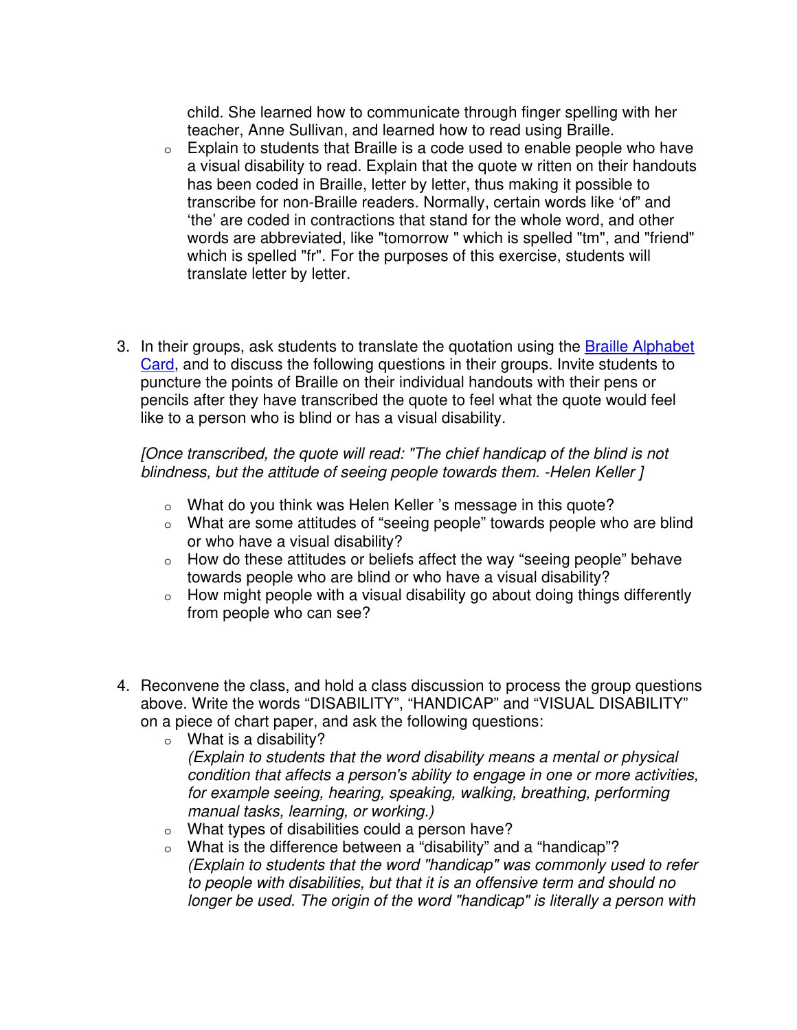child. She learned how to communicate through finger spelling with her teacher, Anne Sullivan, and learned how to read using Braille.

- o Explain to students that Braille is a code used to enable people who have a visual disability to read. Explain that the quote w ritten on their handouts has been coded in Braille, letter by letter, thus making it possible to transcribe for non-Braille readers. Normally, certain words like 'of" and 'the' are coded in contractions that stand for the whole word, and other words are abbreviated, like "tomorrow " which is spelled "tm", and "friend" which is spelled "fr". For the purposes of this exercise, students will translate letter by letter.
- 3. In their groups, ask students to translate the quotation using the Braille Alphabet [Card,](http://www.adl.org/education/curriculum_connections/fall_2005/braille_alphabet_card.pdf) and to discuss the following questions in their groups. Invite students to puncture the points of Braille on their individual handouts with their pens or pencils after they have transcribed the quote to feel what the quote would feel like to a person who is blind or has a visual disability.

*[Once transcribed, the quote will read: "The chief handicap of the blind is not blindness, but the attitude of seeing people towards them. -Helen Keller ]*

- o What do you think was Helen Keller 's message in this quote?
- o What are some attitudes of "seeing people" towards people who are blind or who have a visual disability?
- o How do these attitudes or beliefs affect the way "seeing people" behave towards people who are blind or who have a visual disability?
- $\circ$  How might people with a visual disability go about doing things differently from people who can see?
- 4. Reconvene the class, and hold a class discussion to process the group questions above. Write the words "DISABILITY", "HANDICAP" and "VISUAL DISABILITY" on a piece of chart paper, and ask the following questions:
	- o What is a disability? *(Explain to students that the word disability means a mental or physical condition that affects a person's ability to engage in one or more activities, for example seeing, hearing, speaking, walking, breathing, performing manual tasks, learning, or working.)*
	- o What types of disabilities could a person have?
	- o What is the difference between a "disability" and a "handicap"? *(Explain to students that the word "handicap" was commonly used to refer to people with disabilities, but that it is an offensive term and should no longer be used. The origin of the word "handicap" is literally a person with*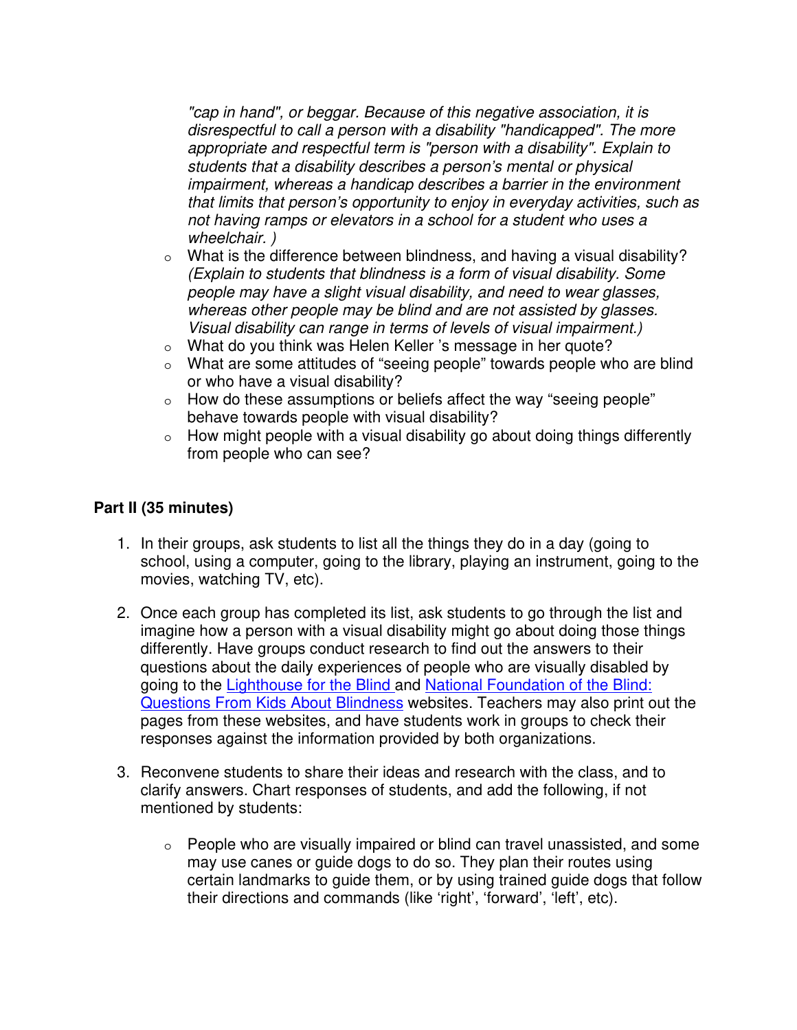*"cap in hand", or beggar. Because of this negative association, it is disrespectful to call a person with a disability "handicapped". The more appropriate and respectful term is "person with a disability". Explain to students that a disability describes a person's mental or physical impairment, whereas a handicap describes a barrier in the environment that limits that person's opportunity to enjoy in everyday activities, such as not having ramps or elevators in a school for a student who uses a wheelchair. )* 

- $\circ$  What is the difference between blindness, and having a visual disability? *(Explain to students that blindness is a form of visual disability. Some people may have a slight visual disability, and need to wear glasses, whereas other people may be blind and are not assisted by glasses. Visual disability can range in terms of levels of visual impairment.)*
- o What do you think was Helen Keller 's message in her quote?
- o What are some attitudes of "seeing people" towards people who are blind or who have a visual disability?
- o How do these assumptions or beliefs affect the way "seeing people" behave towards people with visual disability?
- o How might people with a visual disability go about doing things differently from people who can see?

### **Part II (35 minutes)**

- 1. In their groups, ask students to list all the things they do in a day (going to school, using a computer, going to the library, playing an instrument, going to the movies, watching TV, etc).
- 2. Once each group has completed its list, ask students to go through the list and imagine how a person with a visual disability might go about doing those things differently. Have groups conduct research to find out the answers to their questions about the daily experiences of people who are visually disabled by going to the [Lighthouse for the Blind](http://www.lighthouse-sf.org/) and [National Foundation of the Blind:](http://www.nfb.org/kids.htm)  [Questions From Kids About Blindness](http://www.nfb.org/kids.htm) websites. Teachers may also print out the pages from these websites, and have students work in groups to check their responses against the information provided by both organizations.
- 3. Reconvene students to share their ideas and research with the class, and to clarify answers. Chart responses of students, and add the following, if not mentioned by students:
	- $\circ$  People who are visually impaired or blind can travel unassisted, and some may use canes or guide dogs to do so. They plan their routes using certain landmarks to guide them, or by using trained guide dogs that follow their directions and commands (like 'right', 'forward', 'left', etc).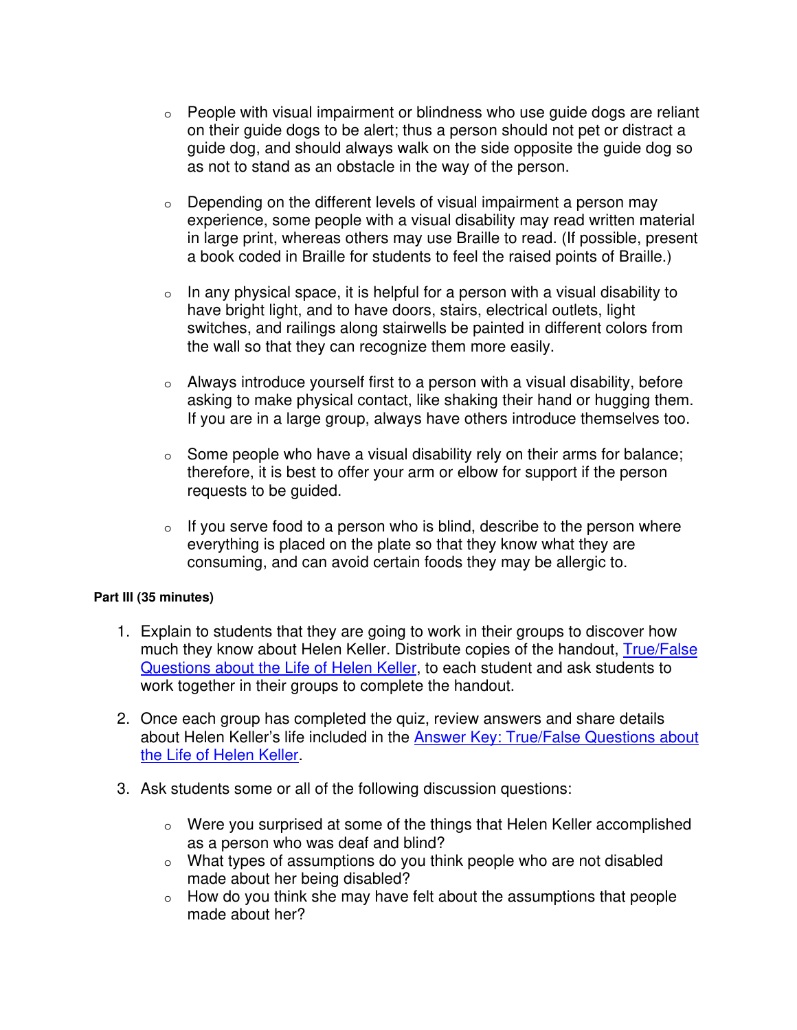- o People with visual impairment or blindness who use guide dogs are reliant on their guide dogs to be alert; thus a person should not pet or distract a guide dog, and should always walk on the side opposite the guide dog so as not to stand as an obstacle in the way of the person.
- o Depending on the different levels of visual impairment a person may experience, some people with a visual disability may read written material in large print, whereas others may use Braille to read. (If possible, present a book coded in Braille for students to feel the raised points of Braille.)
- $\circ$  In any physical space, it is helpful for a person with a visual disability to have bright light, and to have doors, stairs, electrical outlets, light switches, and railings along stairwells be painted in different colors from the wall so that they can recognize them more easily.
- o Always introduce yourself first to a person with a visual disability, before asking to make physical contact, like shaking their hand or hugging them. If you are in a large group, always have others introduce themselves too.
- o Some people who have a visual disability rely on their arms for balance; therefore, it is best to offer your arm or elbow for support if the person requests to be guided.
- $\circ$  If you serve food to a person who is blind, describe to the person where everything is placed on the plate so that they know what they are consuming, and can avoid certain foods they may be allergic to.

### **Part III (35 minutes)**

- 1. Explain to students that they are going to work in their groups to discover how much they know about Helen Keller. Distribute copies of the handout, [True/False](javascript:%20var%20newWwin%20=%20window.open%20()  [Questions about the Life of Helen Keller](javascript:%20var%20newWwin%20=%20window.open%20(), to each student and ask students to work together in their groups to complete the handout.
- 2. Once each group has completed the quiz, review answers and share details about Helen Keller's life included in the [Answer Key: True/False Questions about](javascript:%20var%20newWwin%20=%20window.open%20()  [the Life of Helen Keller](javascript:%20var%20newWwin%20=%20window.open%20().
- 3. Ask students some or all of the following discussion questions:
	- o Were you surprised at some of the things that Helen Keller accomplished as a person who was deaf and blind?
	- o What types of assumptions do you think people who are not disabled made about her being disabled?
	- o How do you think she may have felt about the assumptions that people made about her?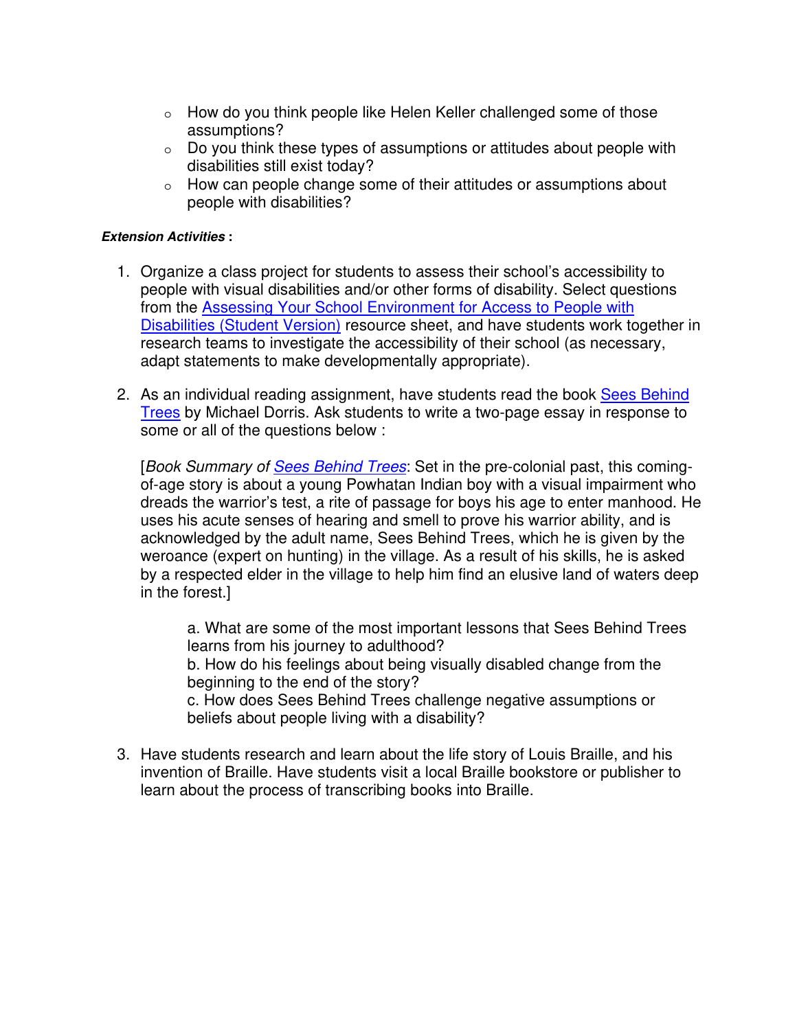- $\circ$  How do you think people like Helen Keller challenged some of those assumptions?
- o Do you think these types of assumptions or attitudes about people with disabilities still exist today?
- o How can people change some of their attitudes or assumptions about people with disabilities?

### **Extension Activities :**

- 1. Organize a class project for students to assess their school's accessibility to people with visual disabilities and/or other forms of disability. Select questions from the [Assessing Your School Environment for Access to People with](javascript:%20var%20newWwin%20=%20window.open%20()  [Disabilities \(Student Version\)](javascript:%20var%20newWwin%20=%20window.open%20() resource sheet, and have students work together in research teams to investigate the accessibility of their school (as necessary, adapt statements to make developmentally appropriate).
- 2. As an individual reading assignment, have students read the book [Sees Behind](http://www.adl.org/bibliography/book_detail.asp?bookdetail=781)  [Trees](http://www.adl.org/bibliography/book_detail.asp?bookdetail=781) by Michael Dorris. Ask students to write a two-page essay in response to some or all of the questions below :

[*Book Summary of [Sees Behind Trees](http://www.adl.org/bibliography/book_detail.asp?bookdetail=781)*: Set in the pre-colonial past, this comingof-age story is about a young Powhatan Indian boy with a visual impairment who dreads the warrior's test, a rite of passage for boys his age to enter manhood. He uses his acute senses of hearing and smell to prove his warrior ability, and is acknowledged by the adult name, Sees Behind Trees, which he is given by the weroance (expert on hunting) in the village. As a result of his skills, he is asked by a respected elder in the village to help him find an elusive land of waters deep in the forest.]

a. What are some of the most important lessons that Sees Behind Trees learns from his journey to adulthood?

b. How do his feelings about being visually disabled change from the beginning to the end of the story?

c. How does Sees Behind Trees challenge negative assumptions or beliefs about people living with a disability?

3. Have students research and learn about the life story of Louis Braille, and his invention of Braille. Have students visit a local Braille bookstore or publisher to learn about the process of transcribing books into Braille.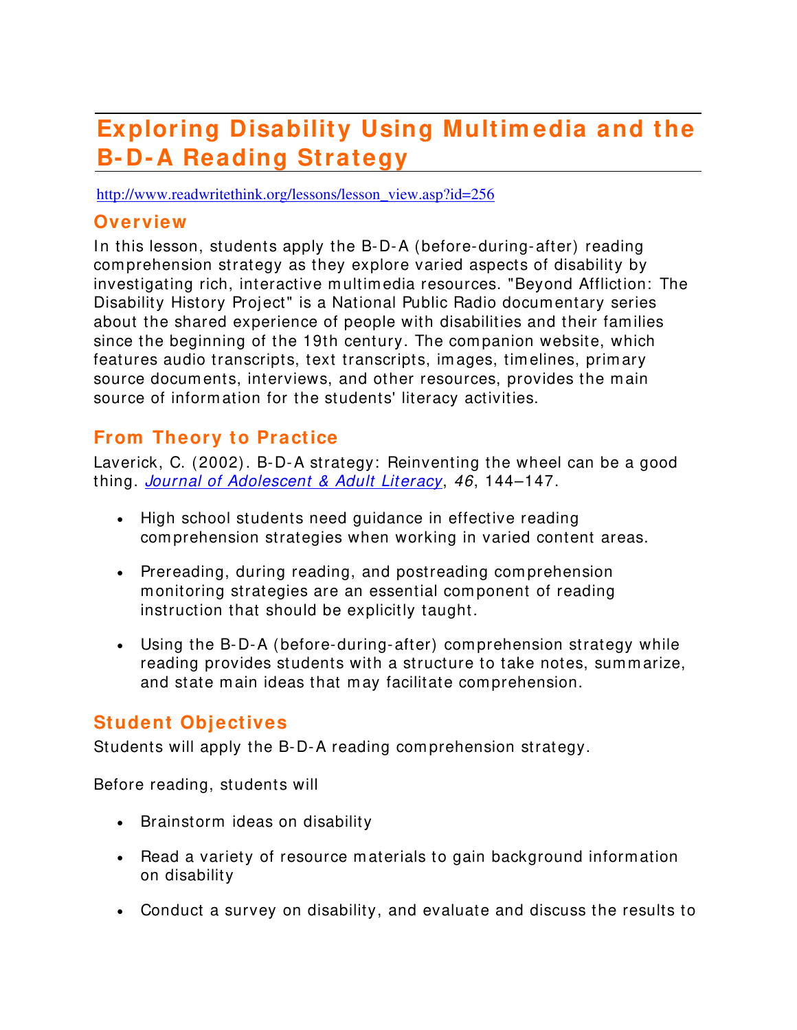# **Exploring Disability Using Multim edia and the B- D- A Reading Strategy**

http://www.readwritethink.org/lessons/lesson\_view.asp?id=256

## **Overview**

In this lesson, students apply the B-D-A (before-during-after) reading com prehension strategy as they explore varied aspects of disability by investigating rich, interactive m ultim edia resources. "Beyond Affliction: The Disability History Project" is a National Public Radio docum entary series about the shared experience of people with disabilities and their fam ilies since the beginning of the 19th century. The com panion website, which features audio transcripts, text transcripts, im ages, tim elines, prim ary source documents, interviews, and other resources, provides the main source of information for the students' literacy activities.

# **From Theory to Practice**

Laverick, C. (2002). B-D-A strategy: Reinventing the wheel can be a good thing. *[Journal of Adolescent & Adult Literacy](http://www.reading.org/publications/journals/jaal/index.html)*, *46*, 144–147.

- High school students need quidance in effective reading com prehension strategies when working in varied content areas.
- Prereading, during reading, and postreading comprehension m onitoring strategies are an essential com ponent of reading instruction that should be explicitly taught.
- Using the B-D-A (before-during-after) comprehension strategy while reading provides students with a structure to take notes, sum m arize, and state main ideas that may facilitate comprehension.

## **Student Objectives**

Students will apply the B-D-A reading com prehension strategy.

Before reading, students will

- Brainstorm ideas on disability
- Read a variety of resource m aterials to gain background inform ation on disability
- Conduct a survey on disability, and evaluate and discuss the results to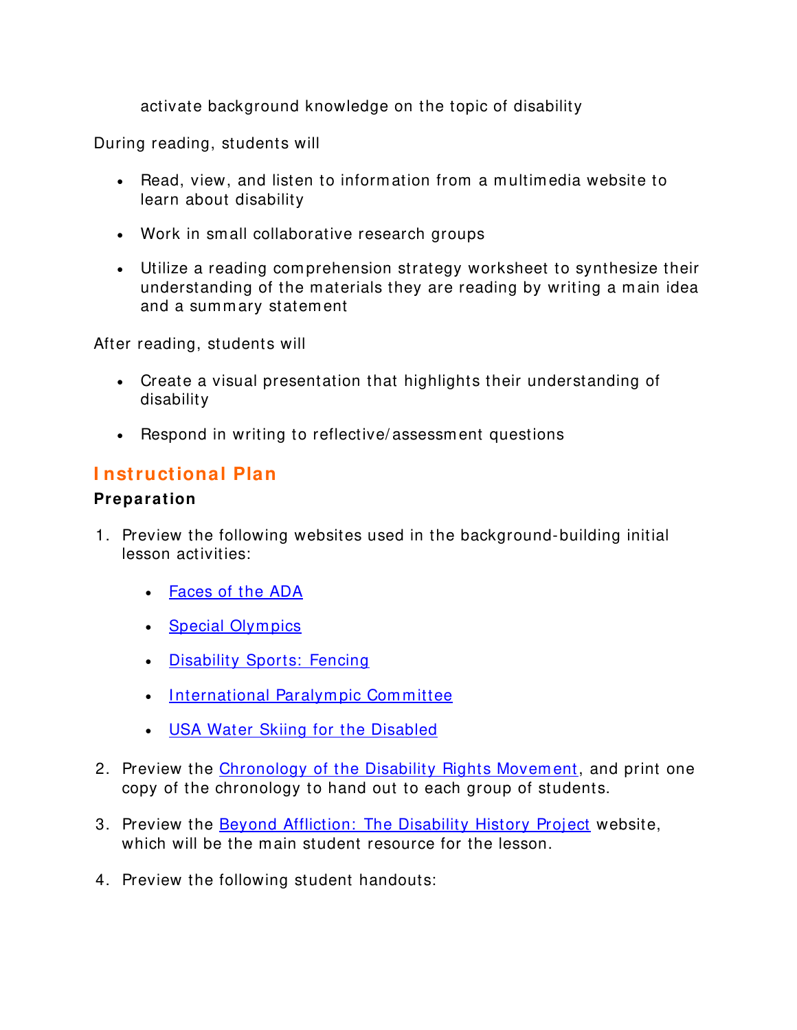activate background knowledge on the topic of disability

During reading, students will

- Read, view, and listen to information from a multimedia website to learn about disability
- Work in small collaborative research groups
- Utilize a reading comprehension strategy worksheet to synthesize their understanding of the materials they are reading by writing a main idea and a summary statement

After reading, students will

- Create a visual presentation that highlights their understanding of disability
- Respond in writing to reflective/assessment questions

## **I nstructional Plan**

### **Preparation**

- 1. Preview the following websites used in the background-building initial lesson activities:
	- [Faces of the ADA](http://www.usdoj.gov/crt/ada/fmartin.htm)
	- Special Olympics
	- [Disability Sports: Fencing](http://edweb6.educ.msu.edu/kin866/Sports/spfencing.htm)
	- International Paralympic Committee
	- [USA Water Skiing for the Disabled](http://usawaterski.org/pages/divisions/WSDA/main.htm)
- 2. Preview the [Chronology of the Disability Rights Movem ent,](http://www.sfsu.edu/%7ehrdpu/chron.htm) and print one copy of the chronology to hand out to each group of students.
- 3. Preview the **[Beyond Affliction: The Disability History Project](http://www.straightaheadpictures.org/beyond-affliction/intr_pre.html)** website, which will be the main student resource for the lesson.
- 4. Preview the following student handouts: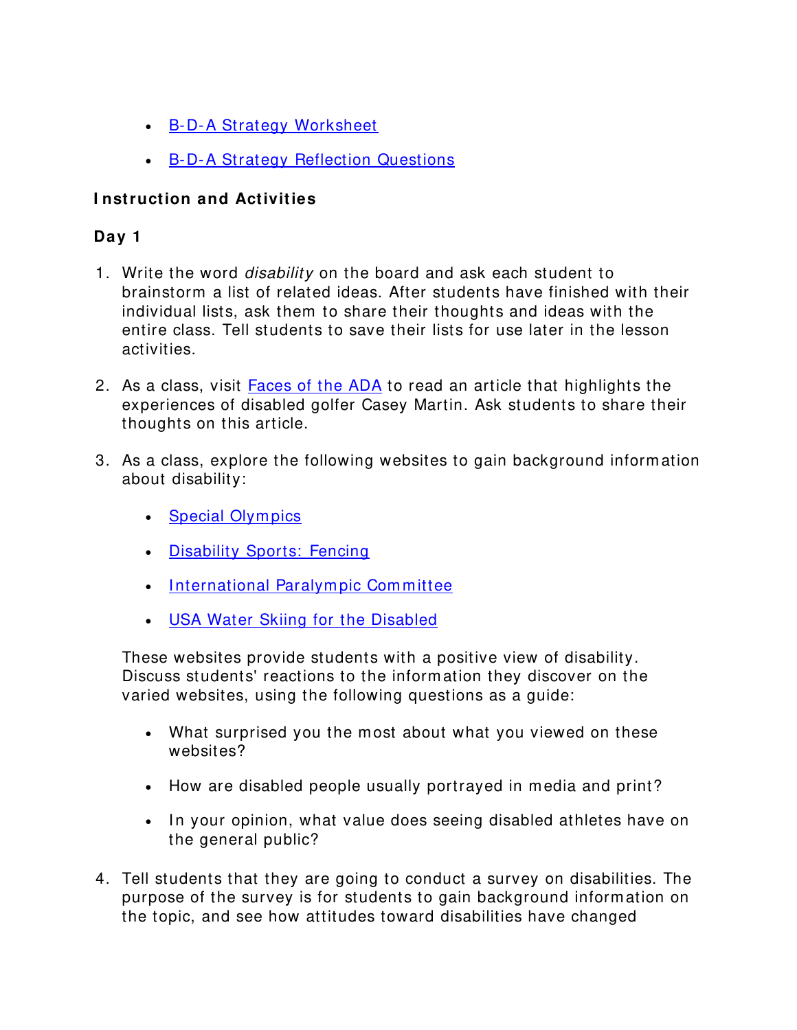- [B-D-A Strategy Worksheet](http://www.readwritethink.org/lesson_images/lesson256/worksheet.pdf)
- [B-D-A Strategy Reflection Questions](http://www.readwritethink.org/lesson_images/lesson256/reflection.pdf)

## **I nstruction and Activities**

## **Day 1**

- 1. Write the word *disability* on the board and ask each student to brainstorm a list of related ideas. After students have finished with their individual lists, ask them to share their thoughts and ideas with the entire class. Tell students to save their lists for use later in the lesson activities.
- 2. As a class, visit **Faces of the ADA** to read an article that highlights the experiences of disabled golfer Casey Martin. Ask students to share their thoughts on this article.
- 3. As a class, explore the following websites to gain background inform ation about disability:
	- Special Olympics
	- [Disability Sports: Fencing](http://edweb6.educ.msu.edu/kin866/Sports/spfencing.htm)
	- International Paralympic Committee
	- [USA Water Skiing for the Disabled](http://usawaterski.org/pages/divisions/WSDA/main.htm)

These websites provide students with a positive view of disability. Discuss students' reactions to the inform ation they discover on the varied websites, using the following questions as a guide:

- What surprised you the most about what you viewed on these websites?
- How are disabled people usually portrayed in media and print?
- In your opinion, what value does seeing disabled athletes have on the general public?
- 4. Tell students that they are going to conduct a survey on disabilities. The purpose of the survey is for students to gain background inform ation on the topic, and see how attitudes toward disabilities have changed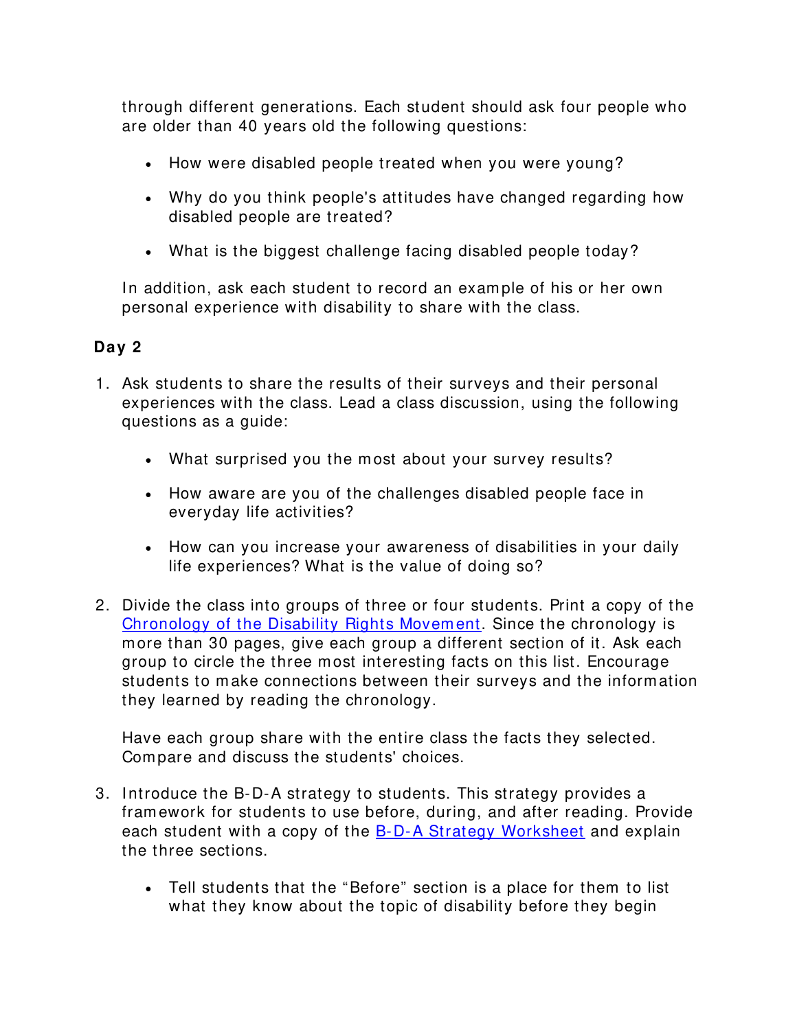through different generations. Each student should ask four people who are older than 40 years old the following questions:

- How were disabled people treated when you were young?
- Why do you think people's attitudes have changed regarding how disabled people are treated?
- What is the biggest challenge facing disabled people today?

In addition, ask each student to record an example of his or her own personal experience with disability to share with the class.

## **Day 2**

- 1. Ask students to share the results of their surveys and their personal experiences with the class. Lead a class discussion, using the following questions as a guide:
	- What surprised you the most about your survey results?
	- How aware are you of the challenges disabled people face in everyday life activities?
	- How can you increase your awareness of disabilities in your daily life experiences? What is the value of doing so?
- 2. Divide the class into groups of three or four students. Print a copy of the [Chronology of the Disability Rights Movem ent.](http://www.sfsu.edu/%7ehrdpu/chron.htm) Since the chronology is m ore than 30 pages, give each group a different section of it. Ask each group to circle the three m ost interesting facts on this list. Encourage students to m ake connections between their surveys and the inform ation they learned by reading the chronology.

Have each group share with the entire class the facts they selected. Com pare and discuss the students' choices.

- 3. Introduce the B-D-A strategy to students. This strategy provides a fram ework for students to use before, during, and after reading. Provide each student with a copy of the [B-D-A Strategy Worksheet](http://www.readwritethink.org/lesson_images/lesson256/worksheet.pdf) and explain the three sections.
	- Tell students that the "Before" section is a place for them to list what they know about the topic of disability before they begin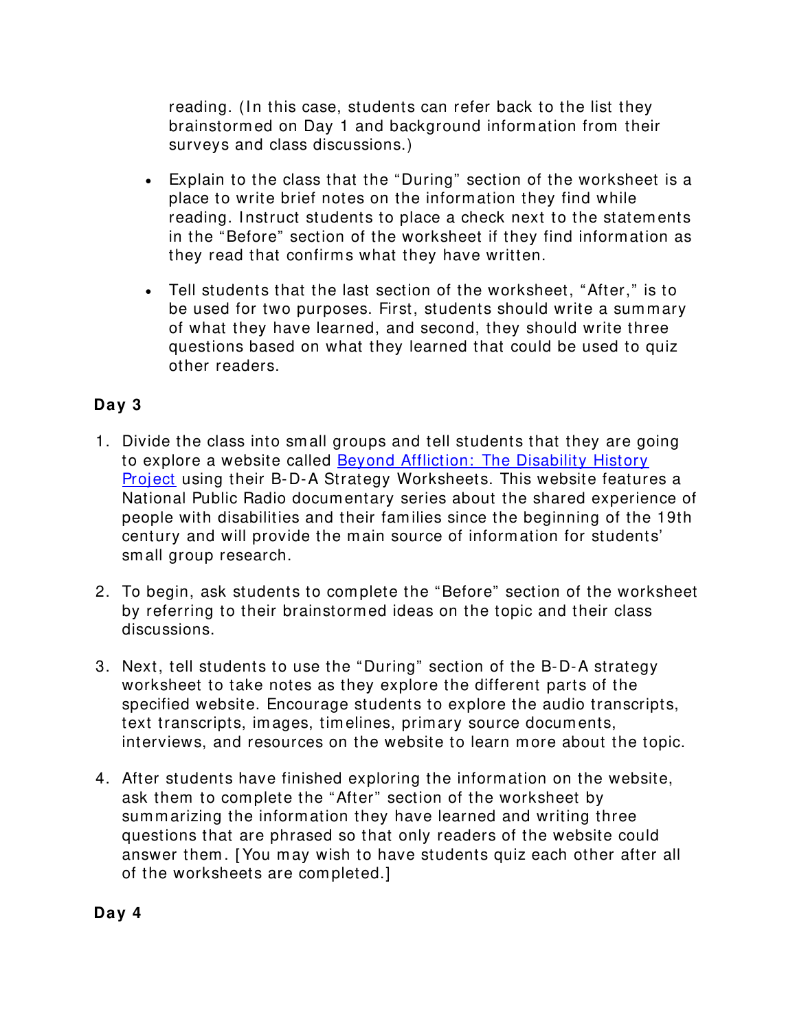reading. (In this case, students can refer back to the list they brainstorm ed on Day 1 and background inform ation from their surveys and class discussions.)

- Explain to the class that the "During" section of the worksheet is a place to write brief notes on the inform ation they find while reading. Instruct students to place a check next to the statements in the "Before" section of the worksheet if they find inform ation as they read that confirms what they have written.
- Tell students that the last section of the worksheet, "After," is to be used for two purposes. First, students should write a summary of what they have learned, and second, they should write three questions based on what they learned that could be used to quiz other readers.

## **Day 3**

- 1. Divide the class into sm all groups and tell students that they are going to explore a website called [Beyond Affliction: The Disability History](http://www.straightaheadpictures.org/beyond-affliction/intr_pre.html)  [Project](http://www.straightaheadpictures.org/beyond-affliction/intr_pre.html) using their B-D-A Strategy Worksheets. This website features a National Public Radio docum entary series about the shared experience of people with disabilities and their fam ilies since the beginning of the 19th century and will provide the m ain source of inform ation for students' sm all group research.
- 2. To begin, ask students to com plete the "Before" section of the worksheet by referring to their brainstorm ed ideas on the topic and their class discussions.
- 3. Next, tell students to use the "During" section of the B-D-A strategy worksheet to take notes as they explore the different parts of the specified website. Encourage students to explore the audio transcripts, text transcripts, im ages, tim elines, prim ary source docum ents, interviews, and resources on the website to learn m ore about the topic.
- 4. After students have finished exploring the inform ation on the website, ask them to com plete the "After" section of the worksheet by summarizing the information they have learned and writing three questions that are phrased so that only readers of the website could answer them . [ You m ay wish to have students quiz each other after all of the worksheets are completed.]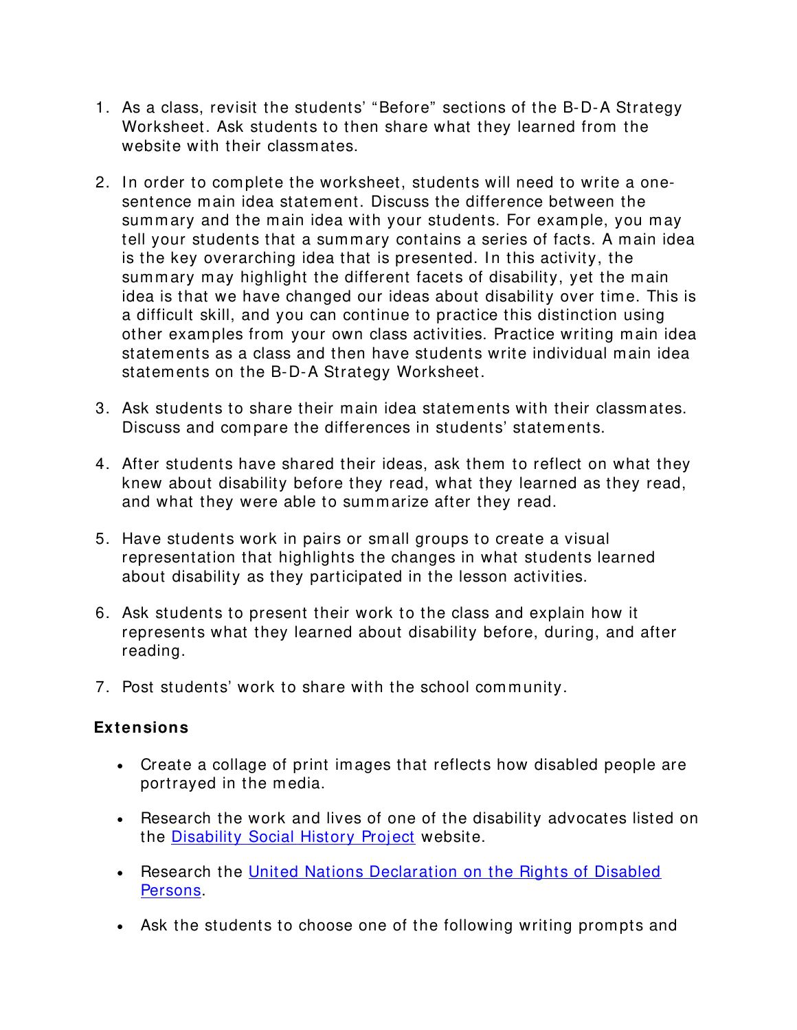- 1. As a class, revisit the students' "Before" sections of the B-D-A Strategy Worksheet. Ask students to then share what they learned from the website with their classm ates.
- 2. In order to complete the worksheet, students will need to write a onesentence m ain idea statem ent. Discuss the difference between the summary and the main idea with your students. For example, you may tell your students that a summary contains a series of facts. A main idea is the key overarching idea that is presented. In this activity, the summary may highlight the different facets of disability, yet the main idea is that we have changed our ideas about disability over time. This is a difficult skill, and you can continue to practice this distinction using other exam ples from your own class activities. Practice writing m ain idea statem ents as a class and then have students write individual m ain idea statem ents on the B-D-A Strategy Worksheet.
- 3. Ask students to share their m ain idea statem ents with their classm ates. Discuss and com pare the differences in students' statem ents.
- 4. After students have shared their ideas, ask them to reflect on what they knew about disability before they read, what they learned as they read, and what they were able to summarize after they read.
- 5. Have students work in pairs or sm all groups to create a visual representation that highlights the changes in what students learned about disability as they participated in the lesson activities.
- 6. Ask students to present their work to the class and explain how it represents what they learned about disability before, during, and after reading.
- 7. Post students' work to share with the school community.

### **Extensions**

- Create a collage of print im ages that reflects how disabled people are portrayed in the m edia.
- Research the work and lives of one of the disability advocates listed on the [Disability Social History Project](http://www.disabilityhistory.org/people.html) website.
- Research the [United Nations Declaration on the Rights of Disabled](http://www.unhchr.ch/html/menu3/b/72.htm)  [Persons.](http://www.unhchr.ch/html/menu3/b/72.htm)
- Ask the students to choose one of the following writing prompts and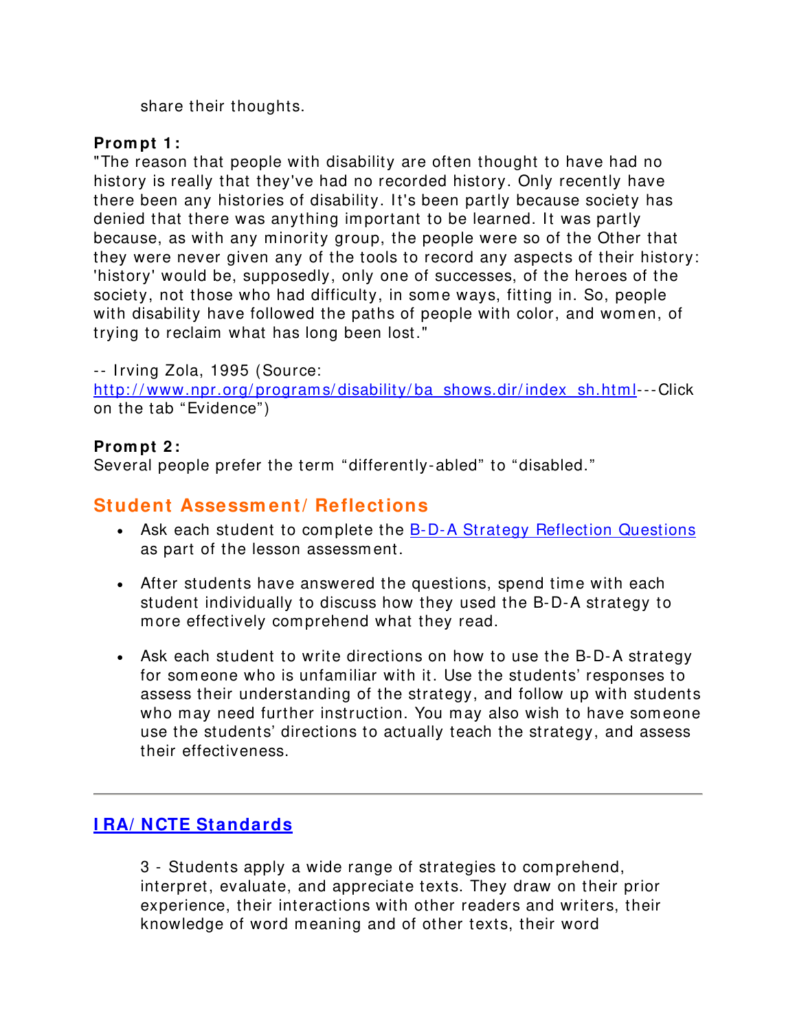share their thoughts.

## **Prom pt 1 :**

"The reason that people with disability are often thought to have had no history is really that they've had no recorded history. Only recently have there been any histories of disability. It's been partly because society has denied that there was anything important to be learned. It was partly because, as with any m inority group, the people were so of the Other that they were never given any of the tools to record any aspects of their history: 'history' would be, supposedly, only one of successes, of the heroes of the society, not those who had difficulty, in some ways, fitting in. So, people with disability have followed the paths of people with color, and women, of trying to reclaim what has long been lost."

-- I rving Zola, 1995 (Source: http://www.npr.org/programs/disability/ba\_shows.dir/index\_sh.html---Click on the tab "Evidence")

### **Prom pt 2 :**

Several people prefer the term "differently-abled" to "disabled."

# **Student Assessm ent/ Reflections**

- Ask each student to complete the [B-D-A Strategy Reflection Questions](http://www.readwritethink.org/lesson_images/lesson256/reflection.pdf) as part of the lesson assessm ent.
- After students have answered the questions, spend time with each student individually to discuss how they used the B-D-A strategy to m ore effectively com prehend what they read.
- Ask each student to write directions on how to use the B-D-A strategy for someone who is unfamiliar with it. Use the students' responses to assess their understanding of the strategy, and follow up with students who may need further instruction. You may also wish to have someone use the students' directions to actually teach the strategy, and assess their effectiveness.

# **[I RA/ NCTE Standards](http://www.reading.org/publications/bbv/books/bk889/)**

3 - Students apply a wide range of strategies to com prehend, interpret, evaluate, and appreciate texts. They draw on their prior experience, their interactions with other readers and writers, their knowledge of word meaning and of other texts, their word